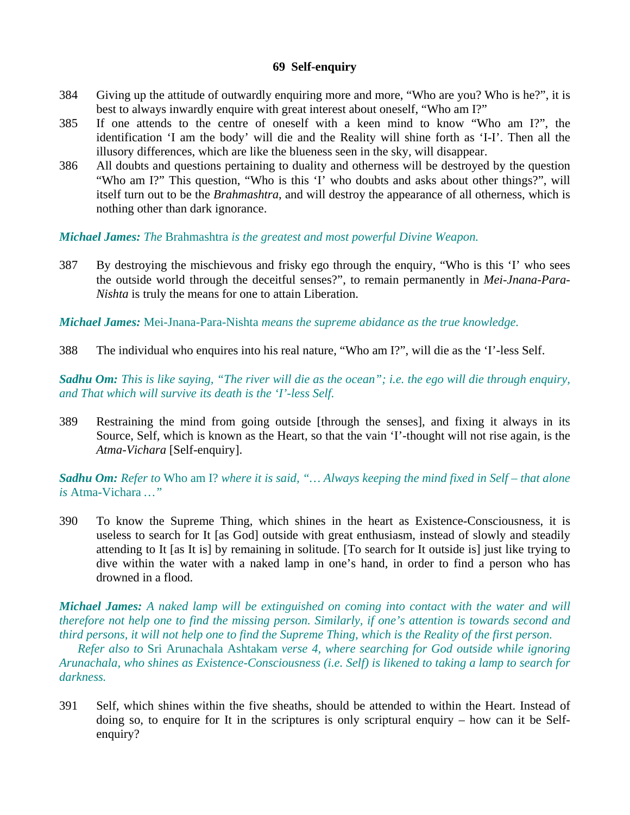### **69 Self-enquiry**

- 384 Giving up the attitude of outwardly enquiring more and more, "Who are you? Who is he?", it is best to always inwardly enquire with great interest about oneself, "Who am I?"
- 385 If one attends to the centre of oneself with a keen mind to know "Who am I?", the identification 'I am the body' will die and the Reality will shine forth as 'I-I'. Then all the illusory differences, which are like the blueness seen in the sky, will disappear.
- 386 All doubts and questions pertaining to duality and otherness will be destroyed by the question "Who am I?" This question, "Who is this 'I' who doubts and asks about other things?", will itself turn out to be the *Brahmashtra*, and will destroy the appearance of all otherness, which is nothing other than dark ignorance.

*Michael James: The* Brahmashtra *is the greatest and most powerful Divine Weapon.* 

387 By destroying the mischievous and frisky ego through the enquiry, "Who is this 'I' who sees the outside world through the deceitful senses?", to remain permanently in *Mei-Jnana-Para-Nishta* is truly the means for one to attain Liberation.

*Michael James:* Mei-Jnana-Para-Nishta *means the supreme abidance as the true knowledge.* 

388 The individual who enquires into his real nature, "Who am I?", will die as the 'I'-less Self.

*Sadhu Om: This is like saying, "The river will die as the ocean"; i.e. the ego will die through enquiry, and That which will survive its death is the 'I'-less Self.* 

389 Restraining the mind from going outside [through the senses], and fixing it always in its Source, Self, which is known as the Heart, so that the vain 'I'-thought will not rise again, is the *Atma-Vichara* [Self-enquiry].

*Sadhu Om: Refer to* Who am I? *where it is said, "… Always keeping the mind fixed in Self – that alone is* Atma-Vichara *…"* 

390 To know the Supreme Thing, which shines in the heart as Existence-Consciousness, it is useless to search for It [as God] outside with great enthusiasm, instead of slowly and steadily attending to It [as It is] by remaining in solitude. [To search for It outside is] just like trying to dive within the water with a naked lamp in one's hand, in order to find a person who has drowned in a flood.

*Michael James: A naked lamp will be extinguished on coming into contact with the water and will therefore not help one to find the missing person. Similarly, if one's attention is towards second and third persons, it will not help one to find the Supreme Thing, which is the Reality of the first person.* 

 *Refer also to* Sri Arunachala Ashtakam *verse 4, where searching for God outside while ignoring Arunachala, who shines as Existence-Consciousness (i.e. Self) is likened to taking a lamp to search for darkness.* 

391 Self, which shines within the five sheaths, should be attended to within the Heart. Instead of doing so, to enquire for It in the scriptures is only scriptural enquiry – how can it be Selfenquiry?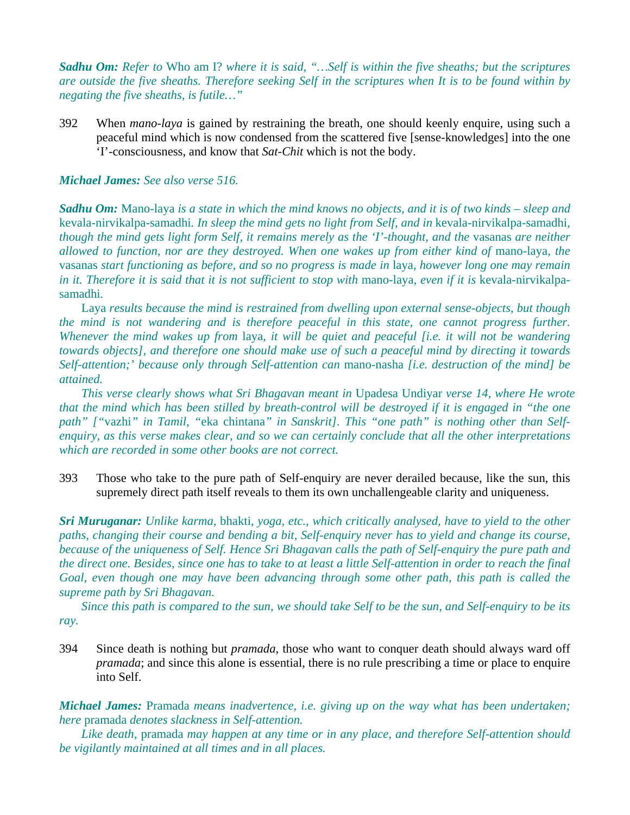*Sadhu Om: Refer to* Who am I? *where it is said, "…Self is within the five sheaths; but the scriptures are outside the five sheaths. Therefore seeking Self in the scriptures when It is to be found within by negating the five sheaths, is futile…"* 

392 When *mano-laya* is gained by restraining the breath, one should keenly enquire, using such a peaceful mind which is now condensed from the scattered five [sense-knowledges] into the one 'I'-consciousness, and know that *Sat-Chit* which is not the body.

#### *Michael James: See also verse 516.*

*Sadhu Om:* Mano-laya *is a state in which the mind knows no objects, and it is of two kinds – sleep and*  kevala-nirvikalpa-samadhi*. In sleep the mind gets no light from Self, and in* kevala-nirvikalpa-samadhi*, though the mind gets light form Self, it remains merely as the 'T-thought, and the vasanas are neither allowed to function, nor are they destroyed. When one wakes up from either kind of* mano-laya*, the*  vasanas *start functioning as before, and so no progress is made in* laya*, however long one may remain in it. Therefore it is said that it is not sufficient to stop with* mano-laya*, even if it is* kevala-nirvikalpasamadhi*.* 

 Laya *results because the mind is restrained from dwelling upon external sense-objects, but though the mind is not wandering and is therefore peaceful in this state, one cannot progress further. Whenever the mind wakes up from* laya*, it will be quiet and peaceful [i.e. it will not be wandering towards objects], and therefore one should make use of such a peaceful mind by directing it towards Self-attention;' because only through Self-attention can* mano-nasha *[i.e. destruction of the mind] be attained.* 

 *This verse clearly shows what Sri Bhagavan meant in* Upadesa Undiyar *verse 14, where He wrote that the mind which has been stilled by breath-control will be destroyed if it is engaged in "the one path" ["*vazhi*" in Tamil, "*eka chintana*" in Sanskrit]. This "one path" is nothing other than Selfenquiry, as this verse makes clear, and so we can certainly conclude that all the other interpretations which are recorded in some other books are not correct.* 

393 Those who take to the pure path of Self-enquiry are never derailed because, like the sun, this supremely direct path itself reveals to them its own unchallengeable clarity and uniqueness.

*Sri Muruganar: Unlike karma,* bhakti*, yoga, etc., which critically analysed, have to yield to the other paths, changing their course and bending a bit, Self-enquiry never has to yield and change its course, because of the uniqueness of Self. Hence Sri Bhagavan calls the path of Self-enquiry the pure path and the direct one. Besides, since one has to take to at least a little Self-attention in order to reach the final Goal, even though one may have been advancing through some other path, this path is called the supreme path by Sri Bhagavan.* 

 *Since this path is compared to the sun, we should take Self to be the sun, and Self-enquiry to be its ray.* 

394 Since death is nothing but *pramada*, those who want to conquer death should always ward off *pramada*; and since this alone is essential, there is no rule prescribing a time or place to enquire into Self.

*Michael James:* Pramada *means inadvertence, i.e. giving up on the way what has been undertaken; here* pramada *denotes slackness in Self-attention.* 

 *Like death,* pramada *may happen at any time or in any place, and therefore Self-attention should be vigilantly maintained at all times and in all places.*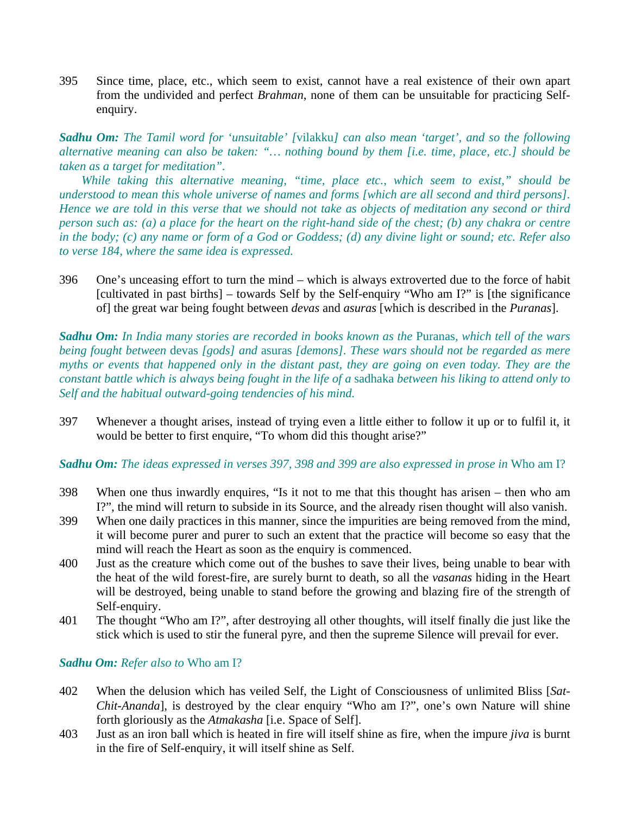395 Since time, place, etc., which seem to exist, cannot have a real existence of their own apart from the undivided and perfect *Brahman*, none of them can be unsuitable for practicing Selfenquiry.

*Sadhu Om: The Tamil word for 'unsuitable' [*vilakku*] can also mean 'target', and so the following alternative meaning can also be taken: "… nothing bound by them [i.e. time, place, etc.] should be taken as a target for meditation".* 

 *While taking this alternative meaning, "time, place etc., which seem to exist," should be understood to mean this whole universe of names and forms [which are all second and third persons]. Hence we are told in this verse that we should not take as objects of meditation any second or third person such as: (a) a place for the heart on the right-hand side of the chest; (b) any chakra or centre in the body; (c) any name or form of a God or Goddess; (d) any divine light or sound; etc. Refer also to verse 184, where the same idea is expressed.* 

396 One's unceasing effort to turn the mind – which is always extroverted due to the force of habit [cultivated in past births] – towards Self by the Self-enquiry "Who am I?" is [the significance of] the great war being fought between *devas* and *asuras* [which is described in the *Puranas*].

*Sadhu Om: In India many stories are recorded in books known as the* Puranas*, which tell of the wars being fought between* devas *[gods] and* asuras *[demons]. These wars should not be regarded as mere myths or events that happened only in the distant past, they are going on even today. They are the constant battle which is always being fought in the life of a* sadhaka *between his liking to attend only to Self and the habitual outward-going tendencies of his mind.* 

397 Whenever a thought arises, instead of trying even a little either to follow it up or to fulfil it, it would be better to first enquire, "To whom did this thought arise?"

### *Sadhu Om: The ideas expressed in verses 397, 398 and 399 are also expressed in prose in* Who am I?

- 398 When one thus inwardly enquires, "Is it not to me that this thought has arisen then who am I?", the mind will return to subside in its Source, and the already risen thought will also vanish.
- 399 When one daily practices in this manner, since the impurities are being removed from the mind, it will become purer and purer to such an extent that the practice will become so easy that the mind will reach the Heart as soon as the enquiry is commenced.
- 400 Just as the creature which come out of the bushes to save their lives, being unable to bear with the heat of the wild forest-fire, are surely burnt to death, so all the *vasanas* hiding in the Heart will be destroyed, being unable to stand before the growing and blazing fire of the strength of Self-enquiry.
- 401 The thought "Who am I?", after destroying all other thoughts, will itself finally die just like the stick which is used to stir the funeral pyre, and then the supreme Silence will prevail for ever.

### *Sadhu Om: Refer also to* Who am I?

- 402 When the delusion which has veiled Self, the Light of Consciousness of unlimited Bliss [*Sat-Chit-Ananda*], is destroyed by the clear enquiry "Who am I?", one's own Nature will shine forth gloriously as the *Atmakasha* [i.e. Space of Self].
- 403 Just as an iron ball which is heated in fire will itself shine as fire, when the impure *jiva* is burnt in the fire of Self-enquiry, it will itself shine as Self.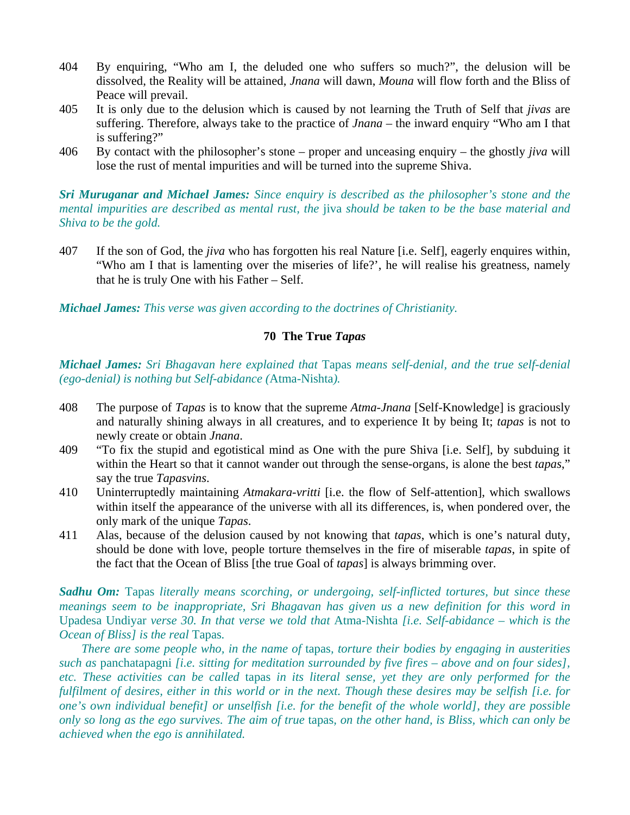- 404 By enquiring, "Who am I, the deluded one who suffers so much?", the delusion will be dissolved, the Reality will be attained, *Jnana* will dawn, *Mouna* will flow forth and the Bliss of Peace will prevail.
- 405 It is only due to the delusion which is caused by not learning the Truth of Self that *jivas* are suffering. Therefore, always take to the practice of *Jnana* – the inward enquiry "Who am I that is suffering?"
- 406 By contact with the philosopher's stone proper and unceasing enquiry the ghostly *jiva* will lose the rust of mental impurities and will be turned into the supreme Shiva.

*Sri Muruganar and Michael James: Since enquiry is described as the philosopher's stone and the mental impurities are described as mental rust, the* jiva *should be taken to be the base material and Shiva to be the gold.* 

407 If the son of God, the *jiva* who has forgotten his real Nature [i.e. Self], eagerly enquires within, "Who am I that is lamenting over the miseries of life?', he will realise his greatness, namely that he is truly One with his Father – Self.

*Michael James: This verse was given according to the doctrines of Christianity.* 

### **70 The True** *Tapas*

*Michael James: Sri Bhagavan here explained that* Tapas *means self-denial, and the true self-denial (ego-denial) is nothing but Self-abidance (*Atma-Nishta*).* 

- 408 The purpose of *Tapas* is to know that the supreme *Atma-Jnana* [Self-Knowledge] is graciously and naturally shining always in all creatures, and to experience It by being It; *tapas* is not to newly create or obtain *Jnana*.
- 409 "To fix the stupid and egotistical mind as One with the pure Shiva [i.e. Self], by subduing it within the Heart so that it cannot wander out through the sense-organs, is alone the best *tapas*," say the true *Tapasvins*.
- 410 Uninterruptedly maintaining *Atmakara-vritti* [i.e. the flow of Self-attention], which swallows within itself the appearance of the universe with all its differences, is, when pondered over, the only mark of the unique *Tapas*.
- 411 Alas, because of the delusion caused by not knowing that *tapas*, which is one's natural duty, should be done with love, people torture themselves in the fire of miserable *tapas*, in spite of the fact that the Ocean of Bliss [the true Goal of *tapas*] is always brimming over.

*Sadhu Om:* Tapas *literally means scorching, or undergoing, self-inflicted tortures, but since these meanings seem to be inappropriate, Sri Bhagavan has given us a new definition for this word in*  Upadesa Undiyar *verse 30. In that verse we told that* Atma-Nishta *[i.e. Self-abidance – which is the Ocean of Bliss] is the real* Tapas*.* 

 *There are some people who, in the name of* tapas*, torture their bodies by engaging in austerities such as* panchatapagni *[i.e. sitting for meditation surrounded by five fires – above and on four sides], etc. These activities can be called* tapas *in its literal sense, yet they are only performed for the fulfilment of desires, either in this world or in the next. Though these desires may be selfish [i.e. for one's own individual benefit] or unselfish [i.e. for the benefit of the whole world], they are possible only so long as the ego survives. The aim of true* tapas*, on the other hand, is Bliss, which can only be achieved when the ego is annihilated.*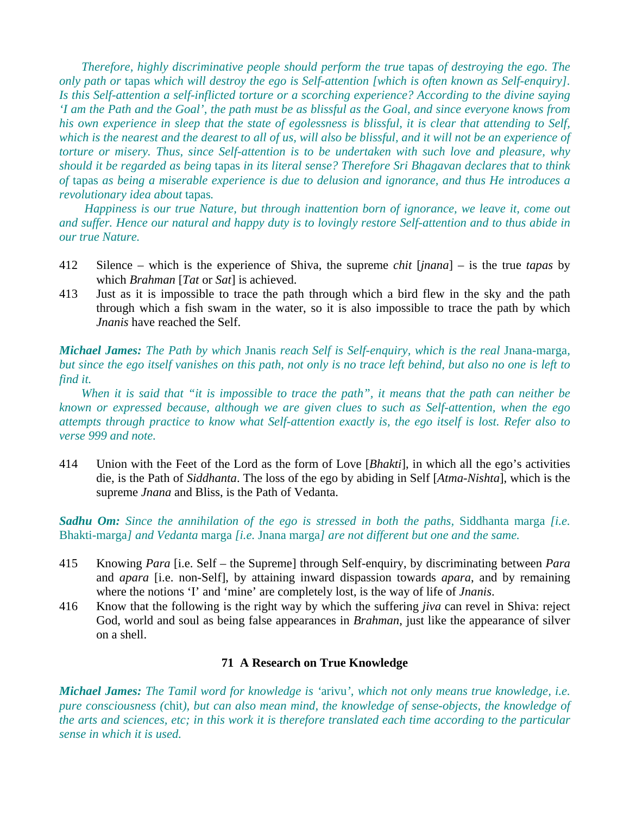*Therefore, highly discriminative people should perform the true* tapas *of destroying the ego. The only path or* tapas *which will destroy the ego is Self-attention [which is often known as Self-enquiry]. Is this Self-attention a self-inflicted torture or a scorching experience? According to the divine saying 'I am the Path and the Goal', the path must be as blissful as the Goal, and since everyone knows from his own experience in sleep that the state of egolessness is blissful, it is clear that attending to Self, which is the nearest and the dearest to all of us, will also be blissful, and it will not be an experience of torture or misery. Thus, since Self-attention is to be undertaken with such love and pleasure, why should it be regarded as being* tapas *in its literal sense? Therefore Sri Bhagavan declares that to think of* tapas *as being a miserable experience is due to delusion and ignorance, and thus He introduces a revolutionary idea about* tapas*.* 

 *Happiness is our true Nature, but through inattention born of ignorance, we leave it, come out and suffer. Hence our natural and happy duty is to lovingly restore Self-attention and to thus abide in our true Nature.* 

- 412 Silence which is the experience of Shiva, the supreme *chit* [*jnana*] is the true *tapas* by which *Brahman* [*Tat* or *Sat*] is achieved.
- 413 Just as it is impossible to trace the path through which a bird flew in the sky and the path through which a fish swam in the water, so it is also impossible to trace the path by which *Jnanis* have reached the Self.

*Michael James: The Path by which* Jnanis *reach Self is Self-enquiry, which is the real* Jnana-marga*, but since the ego itself vanishes on this path, not only is no trace left behind, but also no one is left to find it.* 

 *When it is said that "it is impossible to trace the path", it means that the path can neither be known or expressed because, although we are given clues to such as Self-attention, when the ego attempts through practice to know what Self-attention exactly is, the ego itself is lost. Refer also to verse 999 and note.* 

414 Union with the Feet of the Lord as the form of Love [*Bhakti*], in which all the ego's activities die, is the Path of *Siddhanta*. The loss of the ego by abiding in Self [*Atma-Nishta*], which is the supreme *Jnana* and Bliss, is the Path of Vedanta.

*Sadhu Om: Since the annihilation of the ego is stressed in both the paths,* Siddhanta marga *[i.e.*  Bhakti-marga*] and Vedanta* marga *[i.e.* Jnana marga*] are not different but one and the same.* 

- 415 Knowing *Para* [i.e. Self the Supreme] through Self-enquiry, by discriminating between *Para* and *apara* [i.e. non-Self], by attaining inward dispassion towards *apara*, and by remaining where the notions 'I' and 'mine' are completely lost, is the way of life of *Jnanis*.
- 416 Know that the following is the right way by which the suffering *jiva* can revel in Shiva: reject God, world and soul as being false appearances in *Brahman*, just like the appearance of silver on a shell.

### **71 A Research on True Knowledge**

*Michael James: The Tamil word for knowledge is '*arivu*', which not only means true knowledge, i.e. pure consciousness (*chit*), but can also mean mind, the knowledge of sense-objects, the knowledge of the arts and sciences, etc; in this work it is therefore translated each time according to the particular sense in which it is used.*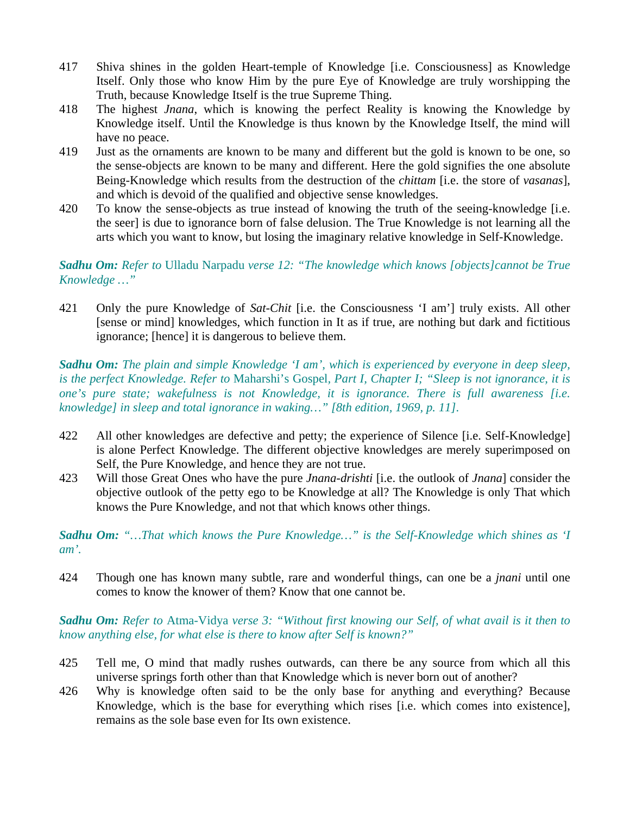- 417 Shiva shines in the golden Heart-temple of Knowledge [i.e. Consciousness] as Knowledge Itself. Only those who know Him by the pure Eye of Knowledge are truly worshipping the Truth, because Knowledge Itself is the true Supreme Thing.
- 418 The highest *Jnana*, which is knowing the perfect Reality is knowing the Knowledge by Knowledge itself. Until the Knowledge is thus known by the Knowledge Itself, the mind will have no peace.
- 419 Just as the ornaments are known to be many and different but the gold is known to be one, so the sense-objects are known to be many and different. Here the gold signifies the one absolute Being-Knowledge which results from the destruction of the *chittam* [i.e. the store of *vasanas*], and which is devoid of the qualified and objective sense knowledges.
- 420 To know the sense-objects as true instead of knowing the truth of the seeing-knowledge [i.e. the seerl is due to ignorance born of false delusion. The True Knowledge is not learning all the arts which you want to know, but losing the imaginary relative knowledge in Self-Knowledge.

# *Sadhu Om: Refer to* Ulladu Narpadu *verse 12: "The knowledge which knows [objects]cannot be True Knowledge …"*

421 Only the pure Knowledge of *Sat-Chit* [i.e. the Consciousness 'I am'] truly exists. All other [sense or mind] knowledges, which function in It as if true, are nothing but dark and fictitious ignorance; [hence] it is dangerous to believe them.

*Sadhu Om: The plain and simple Knowledge 'I am', which is experienced by everyone in deep sleep, is the perfect Knowledge. Refer to* Maharshi's Gospel*, Part I, Chapter I; "Sleep is not ignorance, it is one's pure state; wakefulness is not Knowledge, it is ignorance. There is full awareness [i.e. knowledge] in sleep and total ignorance in waking…" [8th edition, 1969, p. 11].* 

- 422 All other knowledges are defective and petty; the experience of Silence [i.e. Self-Knowledge] is alone Perfect Knowledge. The different objective knowledges are merely superimposed on Self, the Pure Knowledge, and hence they are not true.
- 423 Will those Great Ones who have the pure *Jnana-drishti* [i.e. the outlook of *Jnana*] consider the objective outlook of the petty ego to be Knowledge at all? The Knowledge is only That which knows the Pure Knowledge, and not that which knows other things.

*Sadhu Om: "…That which knows the Pure Knowledge…" is the Self-Knowledge which shines as 'I am'.* 

424 Though one has known many subtle, rare and wonderful things, can one be a *jnani* until one comes to know the knower of them? Know that one cannot be.

*Sadhu Om: Refer to* Atma-Vidya *verse 3: "Without first knowing our Self, of what avail is it then to know anything else, for what else is there to know after Self is known?"* 

- 425 Tell me, O mind that madly rushes outwards, can there be any source from which all this universe springs forth other than that Knowledge which is never born out of another?
- 426 Why is knowledge often said to be the only base for anything and everything? Because Knowledge, which is the base for everything which rises [i.e. which comes into existence], remains as the sole base even for Its own existence.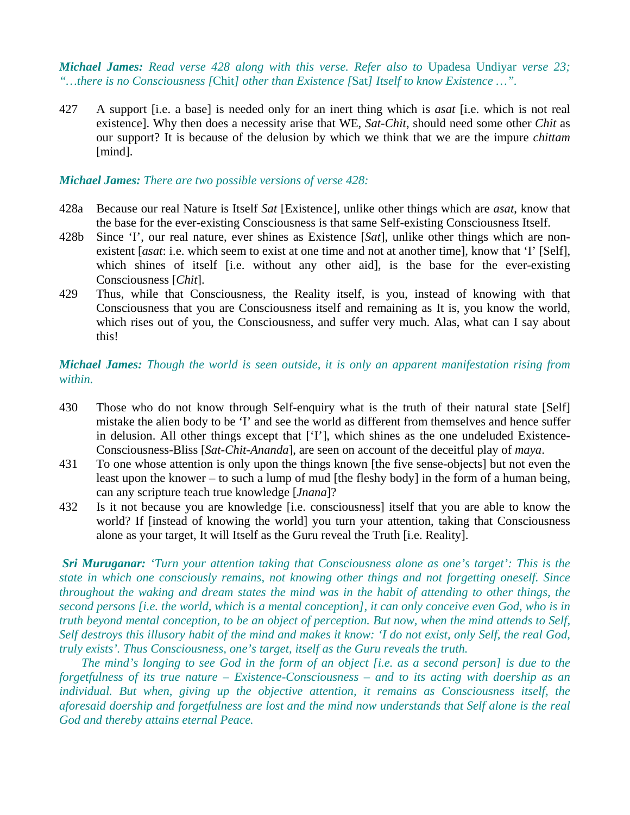*Michael James: Read verse 428 along with this verse. Refer also to Upadesa Undiyar verse 23; "…there is no Consciousness [*Chit*] other than Existence [*Sat*] Itself to know Existence …".* 

427 A support [i.e. a base] is needed only for an inert thing which is *asat* [i.e. which is not real existence]. Why then does a necessity arise that WE, *Sat-Chit*, should need some other *Chit* as our support? It is because of the delusion by which we think that we are the impure *chittam* [mind].

#### *Michael James: There are two possible versions of verse 428:*

- 428a Because our real Nature is Itself *Sat* [Existence], unlike other things which are *asat*, know that the base for the ever-existing Consciousness is that same Self-existing Consciousness Itself.
- 428b Since 'I', our real nature, ever shines as Existence [*Sat*], unlike other things which are nonexistent [*asat*: i.e. which seem to exist at one time and not at another time], know that 'I' [Self], which shines of itself [i.e. without any other aid], is the base for the ever-existing Consciousness [*Chit*].
- 429 Thus, while that Consciousness, the Reality itself, is you, instead of knowing with that Consciousness that you are Consciousness itself and remaining as It is, you know the world, which rises out of you, the Consciousness, and suffer very much. Alas, what can I say about this!

## *Michael James: Though the world is seen outside, it is only an apparent manifestation rising from within.*

- 430 Those who do not know through Self-enquiry what is the truth of their natural state [Self] mistake the alien body to be 'I' and see the world as different from themselves and hence suffer in delusion. All other things except that ['I'], which shines as the one undeluded Existence-Consciousness-Bliss [*Sat-Chit-Ananda*], are seen on account of the deceitful play of *maya*.
- 431 To one whose attention is only upon the things known [the five sense-objects] but not even the least upon the knower – to such a lump of mud [the fleshy body] in the form of a human being, can any scripture teach true knowledge [*Jnana*]?
- 432 Is it not because you are knowledge [i.e. consciousness] itself that you are able to know the world? If [instead of knowing the world] you turn your attention, taking that Consciousness alone as your target, It will Itself as the Guru reveal the Truth [i.e. Reality].

 *Sri Muruganar: 'Turn your attention taking that Consciousness alone as one's target': This is the state in which one consciously remains, not knowing other things and not forgetting oneself. Since throughout the waking and dream states the mind was in the habit of attending to other things, the second persons [i.e. the world, which is a mental conception], it can only conceive even God, who is in truth beyond mental conception, to be an object of perception. But now, when the mind attends to Self, Self destroys this illusory habit of the mind and makes it know: 'I do not exist, only Self, the real God, truly exists'. Thus Consciousness, one's target, itself as the Guru reveals the truth.* 

 *The mind's longing to see God in the form of an object [i.e. as a second person] is due to the forgetfulness of its true nature – Existence-Consciousness – and to its acting with doership as an individual. But when, giving up the objective attention, it remains as Consciousness itself, the aforesaid doership and forgetfulness are lost and the mind now understands that Self alone is the real God and thereby attains eternal Peace.*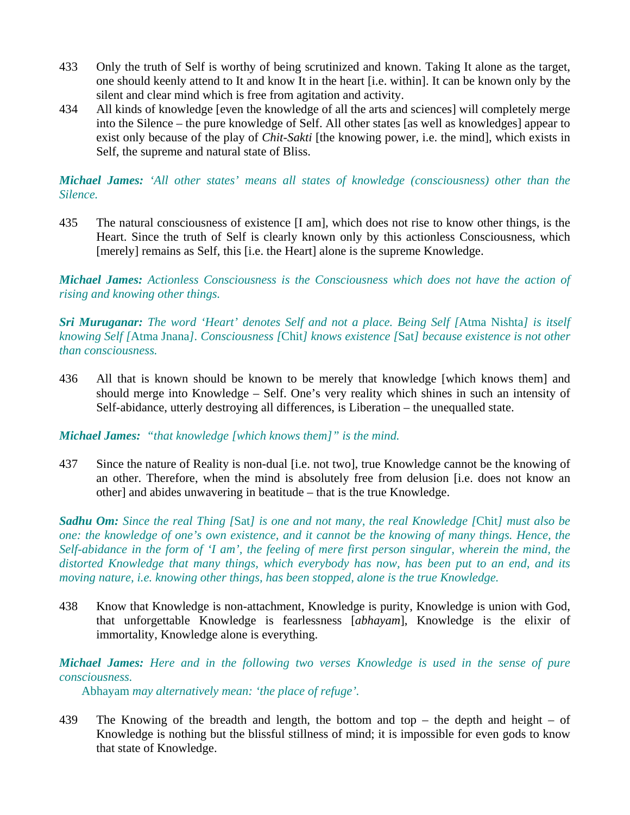- 433 Only the truth of Self is worthy of being scrutinized and known. Taking It alone as the target, one should keenly attend to It and know It in the heart [i.e. within]. It can be known only by the silent and clear mind which is free from agitation and activity.
- 434 All kinds of knowledge [even the knowledge of all the arts and sciences] will completely merge into the Silence – the pure knowledge of Self. All other states [as well as knowledges] appear to exist only because of the play of *Chit-Sakti* [the knowing power, i.e. the mind], which exists in Self, the supreme and natural state of Bliss.

*Michael James: 'All other states' means all states of knowledge (consciousness) other than the Silence.* 

435 The natural consciousness of existence [I am], which does not rise to know other things, is the Heart. Since the truth of Self is clearly known only by this actionless Consciousness, which [merely] remains as Self, this [i.e. the Heart] alone is the supreme Knowledge.

*Michael James: Actionless Consciousness is the Consciousness which does not have the action of rising and knowing other things.* 

*Sri Muruganar: The word 'Heart' denotes Self and not a place. Being Self [*Atma Nishta*] is itself knowing Self [*Atma Jnana*]. Consciousness [*Chit*] knows existence [*Sat*] because existence is not other than consciousness.* 

436 All that is known should be known to be merely that knowledge [which knows them] and should merge into Knowledge – Self. One's very reality which shines in such an intensity of Self-abidance, utterly destroying all differences, is Liberation – the unequalled state.

### *Michael James: "that knowledge [which knows them]" is the mind.*

437 Since the nature of Reality is non-dual [i.e. not two], true Knowledge cannot be the knowing of an other. Therefore, when the mind is absolutely free from delusion [i.e. does not know an other] and abides unwavering in beatitude – that is the true Knowledge.

*Sadhu Om: Since the real Thing [*Sat*] is one and not many, the real Knowledge [*Chit*] must also be one: the knowledge of one's own existence, and it cannot be the knowing of many things. Hence, the Self-abidance in the form of 'I am', the feeling of mere first person singular, wherein the mind, the distorted Knowledge that many things, which everybody has now, has been put to an end, and its moving nature, i.e. knowing other things, has been stopped, alone is the true Knowledge.* 

438 Know that Knowledge is non-attachment, Knowledge is purity, Knowledge is union with God, that unforgettable Knowledge is fearlessness [*abhayam*], Knowledge is the elixir of immortality, Knowledge alone is everything.

*Michael James: Here and in the following two verses Knowledge is used in the sense of pure consciousness.* 

Abhayam *may alternatively mean: 'the place of refuge'.* 

439 The Knowing of the breadth and length, the bottom and top – the depth and height – of Knowledge is nothing but the blissful stillness of mind; it is impossible for even gods to know that state of Knowledge.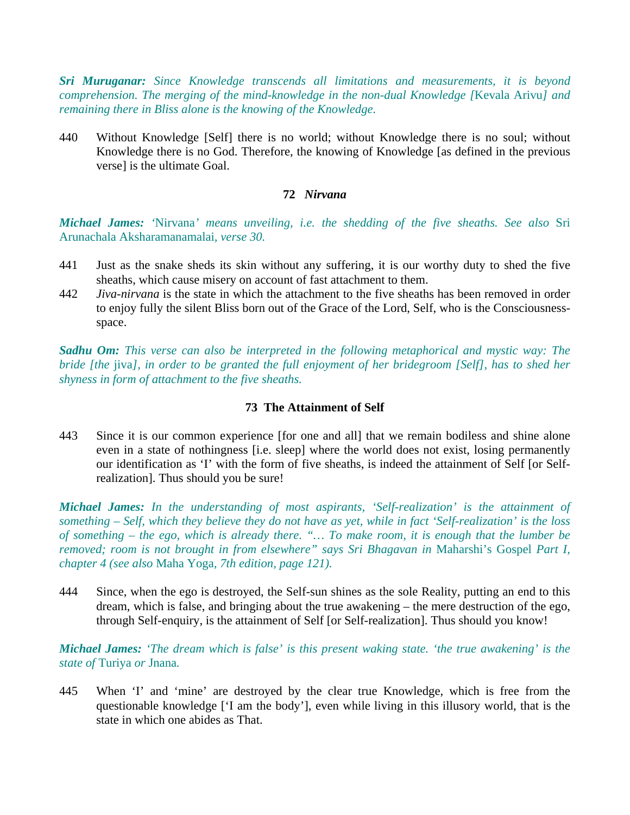*Sri Muruganar: Since Knowledge transcends all limitations and measurements, it is beyond comprehension. The merging of the mind-knowledge in the non-dual Knowledge [*Kevala Arivu*] and remaining there in Bliss alone is the knowing of the Knowledge.* 

440 Without Knowledge [Self] there is no world; without Knowledge there is no soul; without Knowledge there is no God. Therefore, the knowing of Knowledge [as defined in the previous verse] is the ultimate Goal.

#### **72** *Nirvana*

*Michael James: '*Nirvana*' means unveiling, i.e. the shedding of the five sheaths. See also* Sri Arunachala Aksharamanamalai*, verse 30.* 

- 441 Just as the snake sheds its skin without any suffering, it is our worthy duty to shed the five sheaths, which cause misery on account of fast attachment to them.
- 442 *Jiva-nirvana* is the state in which the attachment to the five sheaths has been removed in order to enjoy fully the silent Bliss born out of the Grace of the Lord, Self, who is the Consciousnessspace.

*Sadhu Om: This verse can also be interpreted in the following metaphorical and mystic way: The bride [the* jiva*], in order to be granted the full enjoyment of her bridegroom [Self], has to shed her shyness in form of attachment to the five sheaths.* 

### **73 The Attainment of Self**

443 Since it is our common experience [for one and all] that we remain bodiless and shine alone even in a state of nothingness [i.e. sleep] where the world does not exist, losing permanently our identification as 'I' with the form of five sheaths, is indeed the attainment of Self [or Selfrealization]. Thus should you be sure!

*Michael James: In the understanding of most aspirants, 'Self-realization' is the attainment of something – Self, which they believe they do not have as yet, while in fact 'Self-realization' is the loss of something – the ego, which is already there. "… To make room, it is enough that the lumber be removed; room is not brought in from elsewhere" says Sri Bhagavan in* Maharshi's Gospel *Part I, chapter 4 (see also* Maha Yoga*, 7th edition, page 121).* 

444 Since, when the ego is destroyed, the Self-sun shines as the sole Reality, putting an end to this dream, which is false, and bringing about the true awakening – the mere destruction of the ego, through Self-enquiry, is the attainment of Self [or Self-realization]. Thus should you know!

*Michael James: 'The dream which is false' is this present waking state. 'the true awakening' is the state of* Turiya *or* Jnana*.* 

445 When 'I' and 'mine' are destroyed by the clear true Knowledge, which is free from the questionable knowledge ['I am the body'], even while living in this illusory world, that is the state in which one abides as That.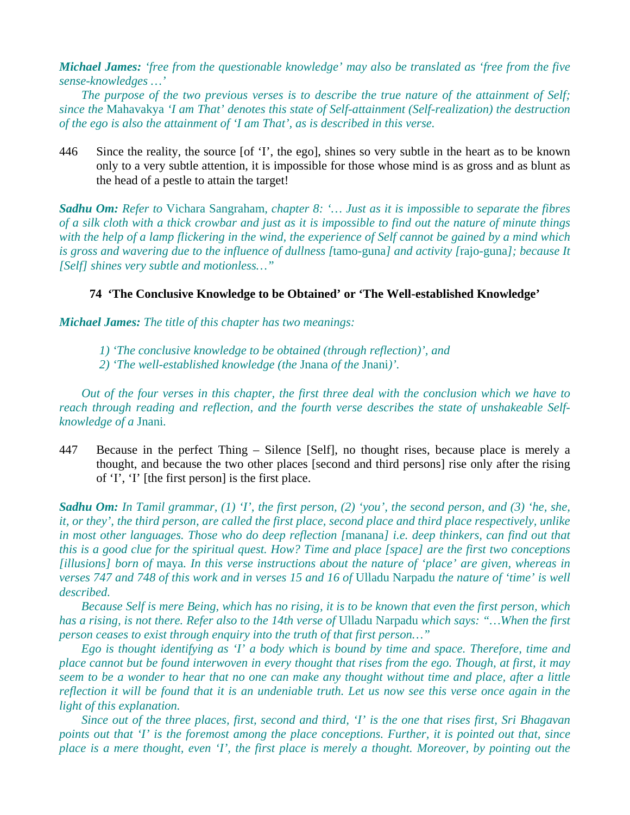*Michael James: 'free from the questionable knowledge' may also be translated as 'free from the five sense-knowledges …'* 

 *The purpose of the two previous verses is to describe the true nature of the attainment of Self; since the* Mahavakya *'I am That' denotes this state of Self-attainment (Self-realization) the destruction of the ego is also the attainment of 'I am That', as is described in this verse.* 

446 Since the reality, the source [of 'I', the ego], shines so very subtle in the heart as to be known only to a very subtle attention, it is impossible for those whose mind is as gross and as blunt as the head of a pestle to attain the target!

*Sadhu Om: Refer to* Vichara Sangraham*, chapter 8: '… Just as it is impossible to separate the fibres of a silk cloth with a thick crowbar and just as it is impossible to find out the nature of minute things with the help of a lamp flickering in the wind, the experience of Self cannot be gained by a mind which is gross and wavering due to the influence of dullness [*tamo-guna*] and activity [*rajo-guna*]; because It [Self] shines very subtle and motionless…"* 

#### **74 'The Conclusive Knowledge to be Obtained' or 'The Well-established Knowledge'**

*Michael James: The title of this chapter has two meanings:* 

- *1) 'The conclusive knowledge to be obtained (through reflection)', and*
- *2) 'The well-established knowledge (the* Jnana *of the* Jnani*)'.*

 *Out of the four verses in this chapter, the first three deal with the conclusion which we have to reach through reading and reflection, and the fourth verse describes the state of unshakeable Selfknowledge of a* Jnani*.* 

447 Because in the perfect Thing – Silence [Self], no thought rises, because place is merely a thought, and because the two other places [second and third persons] rise only after the rising of 'I', 'I' [the first person] is the first place.

*Sadhu Om: In Tamil grammar, (1) 'I', the first person, (2) 'you', the second person, and (3) 'he, she, it, or they', the third person, are called the first place, second place and third place respectively, unlike in most other languages. Those who do deep reflection [*manana*] i.e. deep thinkers, can find out that this is a good clue for the spiritual quest. How? Time and place [space] are the first two conceptions [illusions] born of* maya*. In this verse instructions about the nature of 'place' are given, whereas in verses 747 and 748 of this work and in verses 15 and 16 of* Ulladu Narpadu *the nature of 'time' is well described.* 

 *Because Self is mere Being, which has no rising, it is to be known that even the first person, which has a rising, is not there. Refer also to the 14th verse of* Ulladu Narpadu *which says: "…When the first person ceases to exist through enquiry into the truth of that first person…"* 

 *Ego is thought identifying as 'I' a body which is bound by time and space. Therefore, time and place cannot but be found interwoven in every thought that rises from the ego. Though, at first, it may seem to be a wonder to hear that no one can make any thought without time and place, after a little reflection it will be found that it is an undeniable truth. Let us now see this verse once again in the light of this explanation.* 

 *Since out of the three places, first, second and third, 'I' is the one that rises first, Sri Bhagavan points out that 'I' is the foremost among the place conceptions. Further, it is pointed out that, since place is a mere thought, even 'I', the first place is merely a thought. Moreover, by pointing out the*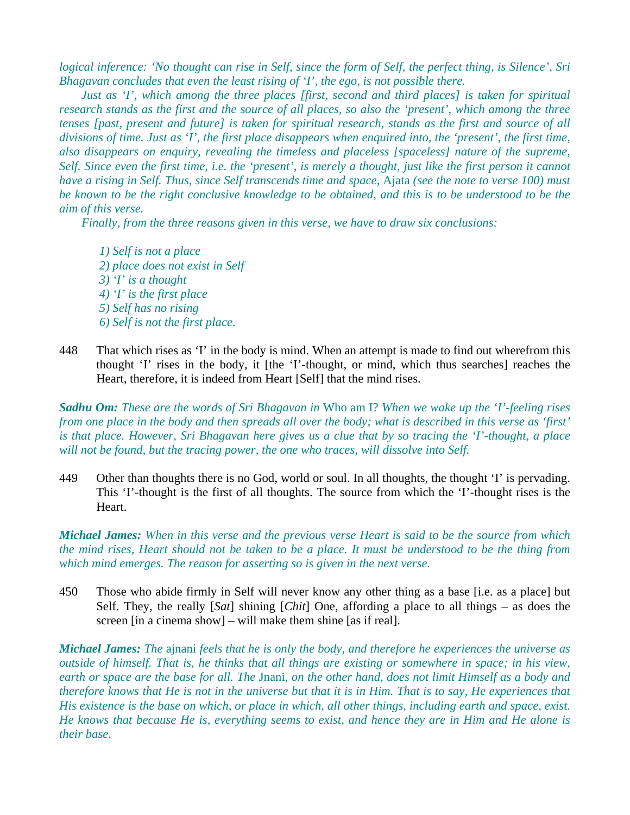*logical inference: 'No thought can rise in Self, since the form of Self, the perfect thing, is Silence', Sri Bhagavan concludes that even the least rising of 'I', the ego, is not possible there.* 

 *Just as 'I', which among the three places [first, second and third places] is taken for spiritual research stands as the first and the source of all places, so also the 'present', which among the three tenses [past, present and future] is taken for spiritual research, stands as the first and source of all divisions of time. Just as 'I', the first place disappears when enquired into, the 'present', the first time, also disappears on enquiry, revealing the timeless and placeless [spaceless] nature of the supreme, Self. Since even the first time, i.e. the 'present', is merely a thought, just like the first person it cannot have a rising in Self. Thus, since Self transcends time and space,* Ajata *(see the note to verse 100) must be known to be the right conclusive knowledge to be obtained, and this is to be understood to be the aim of this verse.* 

 *Finally, from the three reasons given in this verse, we have to draw six conclusions:* 

 *1) Self is not a place 2) place does not exist in Self 3) 'I' is a thought 4) 'I' is the first place 5) Self has no rising 6) Self is not the first place.* 

448 That which rises as 'I' in the body is mind. When an attempt is made to find out wherefrom this thought 'I' rises in the body, it [the 'I'-thought, or mind, which thus searches] reaches the Heart, therefore, it is indeed from Heart [Self] that the mind rises.

*Sadhu Om: These are the words of Sri Bhagavan in* Who am I? *When we wake up the 'I'-feeling rises from one place in the body and then spreads all over the body; what is described in this verse as 'first' is that place. However, Sri Bhagavan here gives us a clue that by so tracing the 'I'-thought, a place will not be found, but the tracing power, the one who traces, will dissolve into Self.* 

449 Other than thoughts there is no God, world or soul. In all thoughts, the thought 'I' is pervading. This 'I'-thought is the first of all thoughts. The source from which the 'I'-thought rises is the Heart.

*Michael James: When in this verse and the previous verse Heart is said to be the source from which the mind rises, Heart should not be taken to be a place. It must be understood to be the thing from which mind emerges. The reason for asserting so is given in the next verse.* 

450 Those who abide firmly in Self will never know any other thing as a base [i.e. as a place] but Self. They, the really [*Sat*] shining [*Chit*] One, affording a place to all things – as does the screen [in a cinema show] – will make them shine [as if real].

*Michael James: The* ajnani *feels that he is only the body, and therefore he experiences the universe as outside of himself. That is, he thinks that all things are existing or somewhere in space; in his view, earth or space are the base for all. The* Jnani*, on the other hand, does not limit Himself as a body and therefore knows that He is not in the universe but that it is in Him. That is to say, He experiences that His existence is the base on which, or place in which, all other things, including earth and space, exist. He knows that because He is, everything seems to exist, and hence they are in Him and He alone is their base.*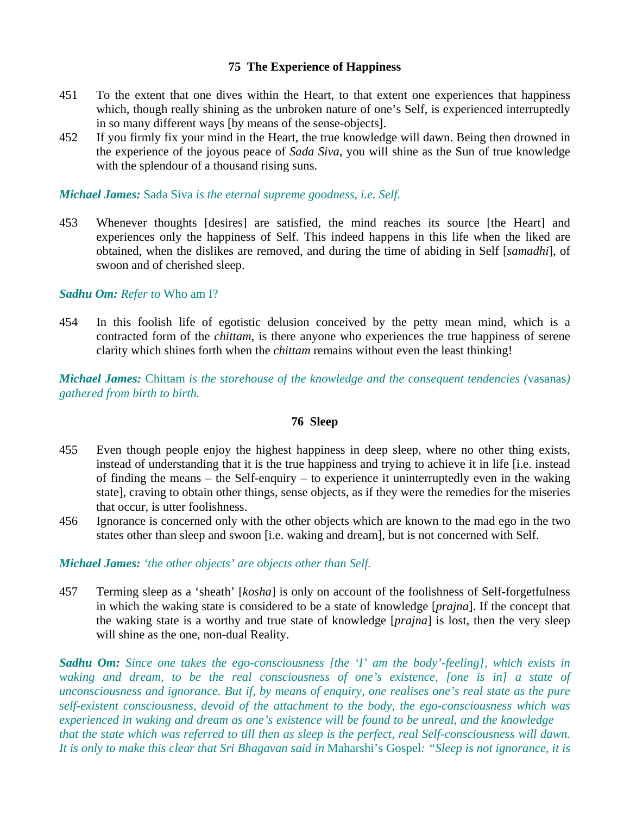## **75 The Experience of Happiness**

- 451 To the extent that one dives within the Heart, to that extent one experiences that happiness which, though really shining as the unbroken nature of one's Self, is experienced interruptedly in so many different ways [by means of the sense-objects].
- 452 If you firmly fix your mind in the Heart, the true knowledge will dawn. Being then drowned in the experience of the joyous peace of *Sada Siva*, you will shine as the Sun of true knowledge with the splendour of a thousand rising suns.

## *Michael James:* Sada Siva *is the eternal supreme goodness, i.e. Self.*

453 Whenever thoughts [desires] are satisfied, the mind reaches its source [the Heart] and experiences only the happiness of Self. This indeed happens in this life when the liked are obtained, when the dislikes are removed, and during the time of abiding in Self [*samadhi*], of swoon and of cherished sleep.

### *Sadhu Om: Refer to* Who am I?

454 In this foolish life of egotistic delusion conceived by the petty mean mind, which is a contracted form of the *chittam*, is there anyone who experiences the true happiness of serene clarity which shines forth when the *chittam* remains without even the least thinking!

*Michael James:* Chittam *is the storehouse of the knowledge and the consequent tendencies (*vasanas*) gathered from birth to birth.* 

### **76 Sleep**

- 455 Even though people enjoy the highest happiness in deep sleep, where no other thing exists, instead of understanding that it is the true happiness and trying to achieve it in life [i.e. instead of finding the means – the Self-enquiry – to experience it uninterruptedly even in the waking state], craving to obtain other things, sense objects, as if they were the remedies for the miseries that occur, is utter foolishness.
- 456 Ignorance is concerned only with the other objects which are known to the mad ego in the two states other than sleep and swoon [i.e. waking and dream], but is not concerned with Self.

### *Michael James: 'the other objects' are objects other than Self.*

457 Terming sleep as a 'sheath' [*kosha*] is only on account of the foolishness of Self-forgetfulness in which the waking state is considered to be a state of knowledge [*prajna*]. If the concept that the waking state is a worthy and true state of knowledge [*prajna*] is lost, then the very sleep will shine as the one, non-dual Reality.

*Sadhu Om: Since one takes the ego-consciousness [the 'I' am the body'-feeling], which exists in waking and dream, to be the real consciousness of one's existence, [one is in] a state of unconsciousness and ignorance. But if, by means of enquiry, one realises one's real state as the pure self-existent consciousness, devoid of the attachment to the body, the ego-consciousness which was experienced in waking and dream as one's existence will be found to be unreal, and the knowledge that the state which was referred to till then as sleep is the perfect, real Self-consciousness will dawn. It is only to make this clear that Sri Bhagavan said in* Maharshi's Gospel*: "Sleep is not ignorance, it is*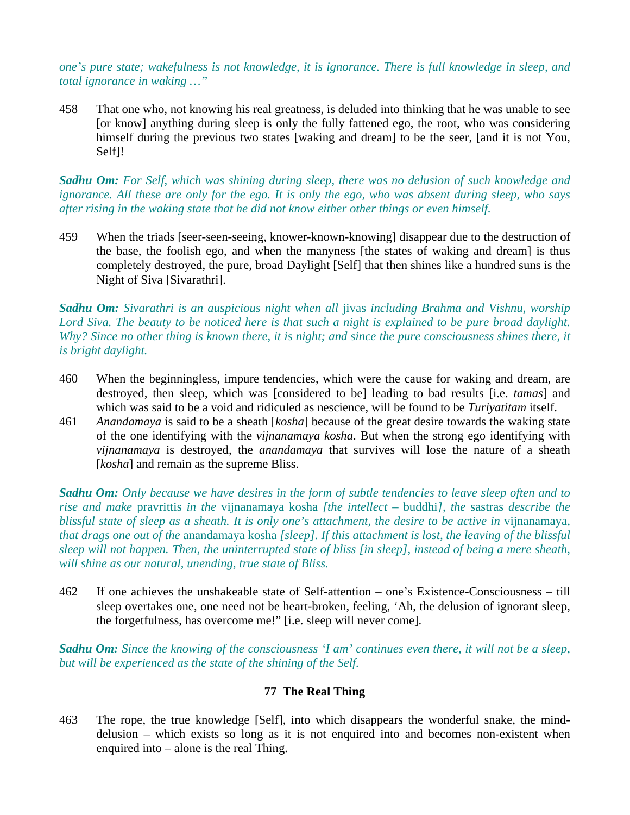*one's pure state; wakefulness is not knowledge, it is ignorance. There is full knowledge in sleep, and total ignorance in waking …"* 

458 That one who, not knowing his real greatness, is deluded into thinking that he was unable to see [or know] anything during sleep is only the fully fattened ego, the root, who was considering himself during the previous two states [waking and dream] to be the seer, [and it is not You, Self]!

*Sadhu Om: For Self, which was shining during sleep, there was no delusion of such knowledge and ignorance. All these are only for the ego. It is only the ego, who was absent during sleep, who says after rising in the waking state that he did not know either other things or even himself.* 

459 When the triads [seer-seen-seeing, knower-known-knowing] disappear due to the destruction of the base, the foolish ego, and when the manyness [the states of waking and dream] is thus completely destroyed, the pure, broad Daylight [Self] that then shines like a hundred suns is the Night of Siva [Sivarathri].

*Sadhu Om: Sivarathri is an auspicious night when all* jivas *including Brahma and Vishnu, worship Lord Siva. The beauty to be noticed here is that such a night is explained to be pure broad daylight. Why? Since no other thing is known there, it is night; and since the pure consciousness shines there, it is bright daylight.* 

- 460 When the beginningless, impure tendencies, which were the cause for waking and dream, are destroyed, then sleep, which was [considered to be] leading to bad results [i.e. *tamas*] and which was said to be a void and ridiculed as nescience, will be found to be *Turiyatitam* itself.
- 461 *Anandamaya* is said to be a sheath [*kosha*] because of the great desire towards the waking state of the one identifying with the *vijnanamaya kosha*. But when the strong ego identifying with *vijnanamaya* is destroyed, the *anandamaya* that survives will lose the nature of a sheath [*kosha*] and remain as the supreme Bliss.

*Sadhu Om: Only because we have desires in the form of subtle tendencies to leave sleep often and to rise and make* pravrittis *in the* vijnanamaya kosha *[the intellect –* buddhi*], the* sastras *describe the blissful state of sleep as a sheath. It is only one's attachment, the desire to be active in* vijnanamaya*, that drags one out of the* anandamaya kosha *[sleep]. If this attachment is lost, the leaving of the blissful sleep will not happen. Then, the uninterrupted state of bliss [in sleep], instead of being a mere sheath, will shine as our natural, unending, true state of Bliss.* 

462 If one achieves the unshakeable state of Self-attention – one's Existence-Consciousness – till sleep overtakes one, one need not be heart-broken, feeling, 'Ah, the delusion of ignorant sleep, the forgetfulness, has overcome me!" [i.e. sleep will never come].

*Sadhu Om: Since the knowing of the consciousness 'I am' continues even there, it will not be a sleep, but will be experienced as the state of the shining of the Self.* 

# **77 The Real Thing**

463 The rope, the true knowledge [Self], into which disappears the wonderful snake, the minddelusion – which exists so long as it is not enquired into and becomes non-existent when enquired into – alone is the real Thing.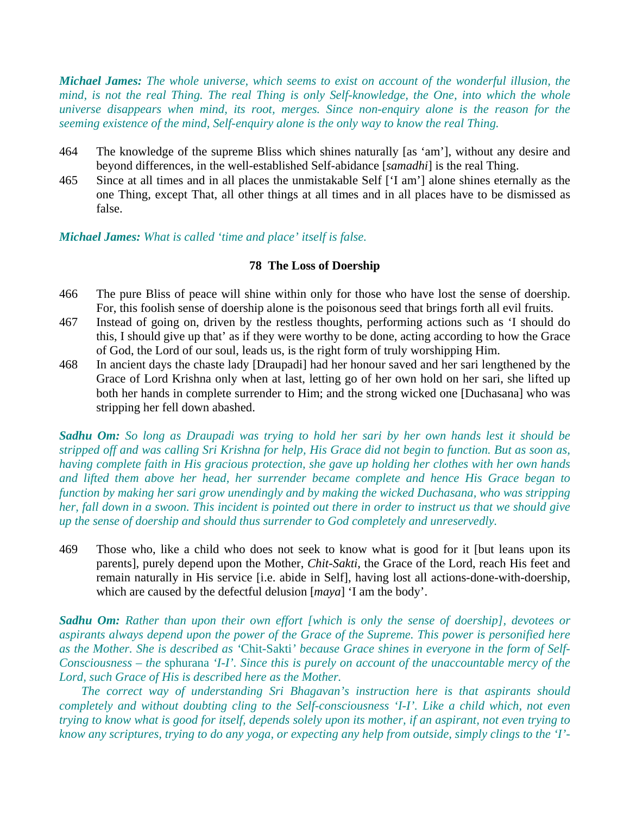*Michael James: The whole universe, which seems to exist on account of the wonderful illusion, the mind, is not the real Thing. The real Thing is only Self-knowledge, the One, into which the whole universe disappears when mind, its root, merges. Since non-enquiry alone is the reason for the seeming existence of the mind, Self-enquiry alone is the only way to know the real Thing.* 

- 464 The knowledge of the supreme Bliss which shines naturally [as 'am'], without any desire and beyond differences, in the well-established Self-abidance [*samadhi*] is the real Thing.
- 465 Since at all times and in all places the unmistakable Self ['I am'] alone shines eternally as the one Thing, except That, all other things at all times and in all places have to be dismissed as false.

*Michael James: What is called 'time and place' itself is false.* 

## **78 The Loss of Doership**

- 466 The pure Bliss of peace will shine within only for those who have lost the sense of doership. For, this foolish sense of doership alone is the poisonous seed that brings forth all evil fruits.
- 467 Instead of going on, driven by the restless thoughts, performing actions such as 'I should do this, I should give up that' as if they were worthy to be done, acting according to how the Grace of God, the Lord of our soul, leads us, is the right form of truly worshipping Him.
- 468 In ancient days the chaste lady [Draupadi] had her honour saved and her sari lengthened by the Grace of Lord Krishna only when at last, letting go of her own hold on her sari, she lifted up both her hands in complete surrender to Him; and the strong wicked one [Duchasana] who was stripping her fell down abashed.

*Sadhu Om: So long as Draupadi was trying to hold her sari by her own hands lest it should be stripped off and was calling Sri Krishna for help, His Grace did not begin to function. But as soon as, having complete faith in His gracious protection, she gave up holding her clothes with her own hands and lifted them above her head, her surrender became complete and hence His Grace began to function by making her sari grow unendingly and by making the wicked Duchasana, who was stripping her, fall down in a swoon. This incident is pointed out there in order to instruct us that we should give up the sense of doership and should thus surrender to God completely and unreservedly.* 

469 Those who, like a child who does not seek to know what is good for it [but leans upon its parents], purely depend upon the Mother, *Chit-Sakti*, the Grace of the Lord, reach His feet and remain naturally in His service [i.e. abide in Self], having lost all actions-done-with-doership, which are caused by the defectful delusion [*maya*] 'I am the body'.

*Sadhu Om: Rather than upon their own effort [which is only the sense of doership], devotees or aspirants always depend upon the power of the Grace of the Supreme. This power is personified here as the Mother. She is described as '*Chit-Sakti*' because Grace shines in everyone in the form of Self-Consciousness – the* sphurana *'I-I'. Since this is purely on account of the unaccountable mercy of the Lord, such Grace of His is described here as the Mother.* 

 *The correct way of understanding Sri Bhagavan's instruction here is that aspirants should completely and without doubting cling to the Self-consciousness 'I-I'. Like a child which, not even trying to know what is good for itself, depends solely upon its mother, if an aspirant, not even trying to know any scriptures, trying to do any yoga, or expecting any help from outside, simply clings to the 'I'-*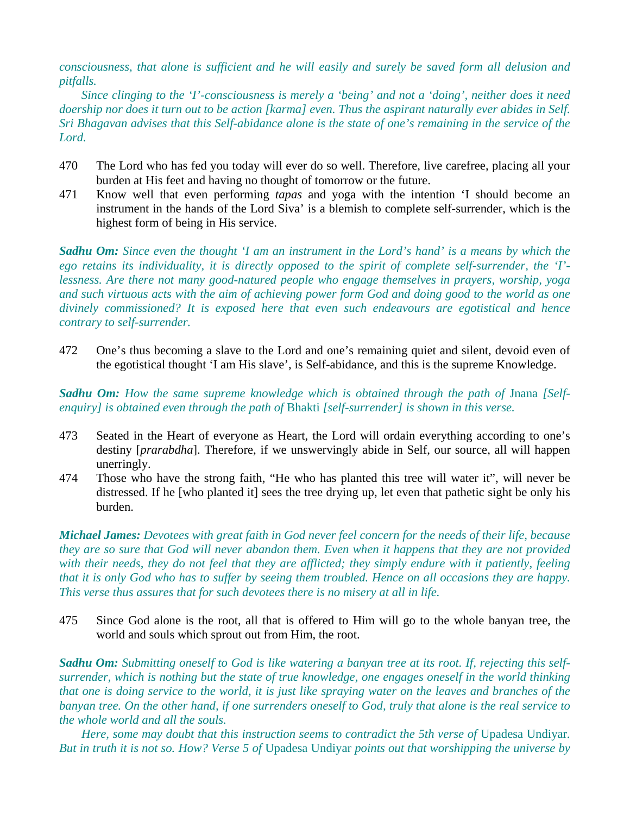*consciousness, that alone is sufficient and he will easily and surely be saved form all delusion and pitfalls.* 

 *Since clinging to the 'I'-consciousness is merely a 'being' and not a 'doing', neither does it need doership nor does it turn out to be action [karma] even. Thus the aspirant naturally ever abides in Self. Sri Bhagavan advises that this Self-abidance alone is the state of one's remaining in the service of the Lord.* 

- 470 The Lord who has fed you today will ever do so well. Therefore, live carefree, placing all your burden at His feet and having no thought of tomorrow or the future.
- 471 Know well that even performing *tapas* and yoga with the intention 'I should become an instrument in the hands of the Lord Siva' is a blemish to complete self-surrender, which is the highest form of being in His service.

*Sadhu Om: Since even the thought 'I am an instrument in the Lord's hand' is a means by which the ego retains its individuality, it is directly opposed to the spirit of complete self-surrender, the 'I' lessness. Are there not many good-natured people who engage themselves in prayers, worship, yoga and such virtuous acts with the aim of achieving power form God and doing good to the world as one divinely commissioned? It is exposed here that even such endeavours are egotistical and hence contrary to self-surrender.* 

472 One's thus becoming a slave to the Lord and one's remaining quiet and silent, devoid even of the egotistical thought 'I am His slave', is Self-abidance, and this is the supreme Knowledge.

**Sadhu Om:** How the same supreme knowledge which is obtained through the path of Jnana *[Selfenquiry] is obtained even through the path of* Bhakti *[self-surrender] is shown in this verse.* 

- 473 Seated in the Heart of everyone as Heart, the Lord will ordain everything according to one's destiny [*prarabdha*]. Therefore, if we unswervingly abide in Self, our source, all will happen unerringly.
- 474 Those who have the strong faith, "He who has planted this tree will water it", will never be distressed. If he [who planted it] sees the tree drying up, let even that pathetic sight be only his burden.

*Michael James: Devotees with great faith in God never feel concern for the needs of their life, because they are so sure that God will never abandon them. Even when it happens that they are not provided with their needs, they do not feel that they are afflicted; they simply endure with it patiently, feeling that it is only God who has to suffer by seeing them troubled. Hence on all occasions they are happy. This verse thus assures that for such devotees there is no misery at all in life.* 

475 Since God alone is the root, all that is offered to Him will go to the whole banyan tree, the world and souls which sprout out from Him, the root.

*Sadhu Om: Submitting oneself to God is like watering a banyan tree at its root. If, rejecting this selfsurrender, which is nothing but the state of true knowledge, one engages oneself in the world thinking that one is doing service to the world, it is just like spraying water on the leaves and branches of the banyan tree. On the other hand, if one surrenders oneself to God, truly that alone is the real service to the whole world and all the souls.* 

*Here, some may doubt that this instruction seems to contradict the 5th verse of Upadesa Undiyar. But in truth it is not so. How? Verse 5 of* Upadesa Undiyar *points out that worshipping the universe by*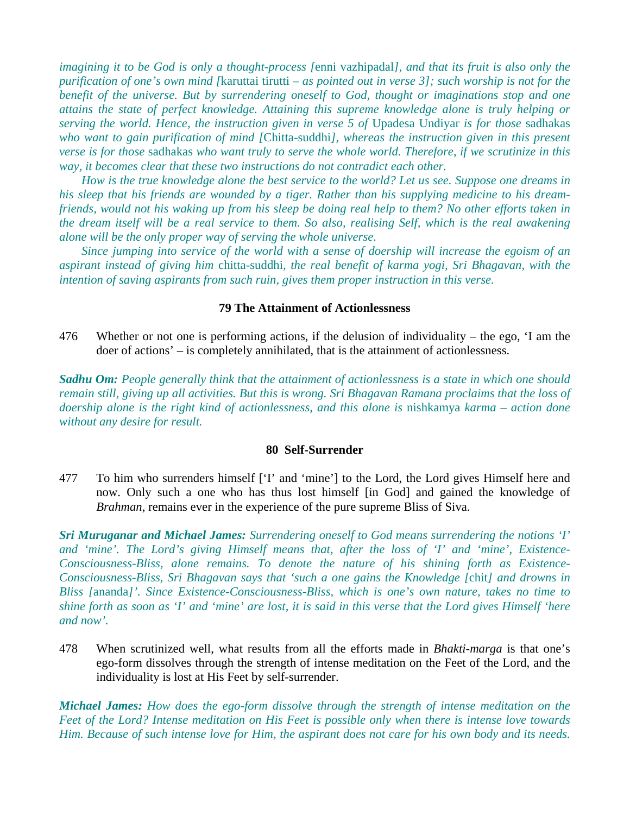*imagining it to be God is only a thought-process [*enni vazhipadal*], and that its fruit is also only the purification of one's own mind [*karuttai tirutti *– as pointed out in verse 3]; such worship is not for the benefit of the universe. But by surrendering oneself to God, thought or imaginations stop and one attains the state of perfect knowledge. Attaining this supreme knowledge alone is truly helping or serving the world. Hence, the instruction given in verse 5 of* Upadesa Undiyar *is for those* sadhakas *who want to gain purification of mind [*Chitta-suddhi*], whereas the instruction given in this present verse is for those* sadhakas *who want truly to serve the whole world. Therefore, if we scrutinize in this way, it becomes clear that these two instructions do not contradict each other.* 

 *How is the true knowledge alone the best service to the world? Let us see. Suppose one dreams in his sleep that his friends are wounded by a tiger. Rather than his supplying medicine to his dreamfriends, would not his waking up from his sleep be doing real help to them? No other efforts taken in the dream itself will be a real service to them. So also, realising Self, which is the real awakening alone will be the only proper way of serving the whole universe.* 

 *Since jumping into service of the world with a sense of doership will increase the egoism of an aspirant instead of giving him* chitta-suddhi*, the real benefit of karma yogi, Sri Bhagavan, with the intention of saving aspirants from such ruin, gives them proper instruction in this verse.* 

#### **79 The Attainment of Actionlessness**

476 Whether or not one is performing actions, if the delusion of individuality – the ego, 'I am the doer of actions' – is completely annihilated, that is the attainment of actionlessness.

*Sadhu Om: People generally think that the attainment of actionlessness is a state in which one should remain still, giving up all activities. But this is wrong. Sri Bhagavan Ramana proclaims that the loss of doership alone is the right kind of actionlessness, and this alone is* nishkamya *karma – action done without any desire for result.* 

#### **80 Self-Surrender**

477 To him who surrenders himself ['I' and 'mine'] to the Lord, the Lord gives Himself here and now. Only such a one who has thus lost himself [in God] and gained the knowledge of *Brahman*, remains ever in the experience of the pure supreme Bliss of Siva.

*Sri Muruganar and Michael James: Surrendering oneself to God means surrendering the notions 'I' and 'mine'. The Lord's giving Himself means that, after the loss of 'I' and 'mine', Existence-Consciousness-Bliss, alone remains. To denote the nature of his shining forth as Existence-Consciousness-Bliss, Sri Bhagavan says that 'such a one gains the Knowledge [*chit*] and drowns in Bliss [*ananda*]'. Since Existence-Consciousness-Bliss, which is one's own nature, takes no time to shine forth as soon as 'I' and 'mine' are lost, it is said in this verse that the Lord gives Himself 'here and now'.* 

478 When scrutinized well, what results from all the efforts made in *Bhakti-marga* is that one's ego-form dissolves through the strength of intense meditation on the Feet of the Lord, and the individuality is lost at His Feet by self-surrender.

*Michael James: How does the ego-form dissolve through the strength of intense meditation on the Feet of the Lord? Intense meditation on His Feet is possible only when there is intense love towards Him. Because of such intense love for Him, the aspirant does not care for his own body and its needs.*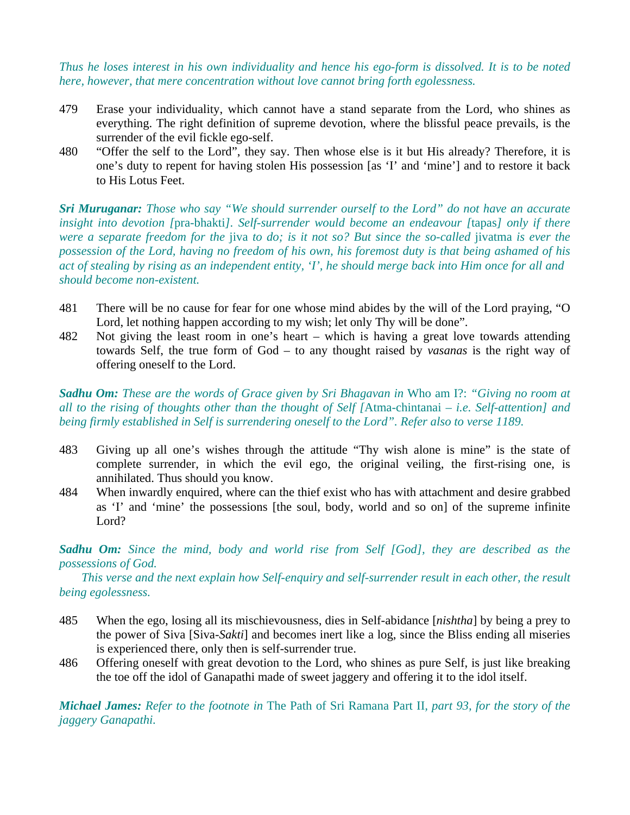*Thus he loses interest in his own individuality and hence his ego-form is dissolved. It is to be noted here, however, that mere concentration without love cannot bring forth egolessness.* 

- 479 Erase your individuality, which cannot have a stand separate from the Lord, who shines as everything. The right definition of supreme devotion, where the blissful peace prevails, is the surrender of the evil fickle ego-self.
- 480 "Offer the self to the Lord", they say. Then whose else is it but His already? Therefore, it is one's duty to repent for having stolen His possession [as 'I' and 'mine'] and to restore it back to His Lotus Feet.

*Sri Muruganar: Those who say "We should surrender ourself to the Lord" do not have an accurate insight into devotion [*pra-bhakti*]. Self-surrender would become an endeavour [*tapas*] only if there were a separate freedom for the* jiva *to do; is it not so? But since the so-called* jivatma *is ever the possession of the Lord, having no freedom of his own, his foremost duty is that being ashamed of his act of stealing by rising as an independent entity, 'I', he should merge back into Him once for all and should become non-existent.* 

- 481 There will be no cause for fear for one whose mind abides by the will of the Lord praying, "O Lord, let nothing happen according to my wish; let only Thy will be done".
- 482 Not giving the least room in one's heart which is having a great love towards attending towards Self, the true form of God – to any thought raised by *vasanas* is the right way of offering oneself to the Lord.

## *Sadhu Om: These are the words of Grace given by Sri Bhagavan in* Who am I?: *"Giving no room at all to the rising of thoughts other than the thought of Self [*Atma-chintanai *– i.e. Self-attention] and being firmly established in Self is surrendering oneself to the Lord". Refer also to verse 1189.*

- 483 Giving up all one's wishes through the attitude "Thy wish alone is mine" is the state of complete surrender, in which the evil ego, the original veiling, the first-rising one, is annihilated. Thus should you know.
- 484 When inwardly enquired, where can the thief exist who has with attachment and desire grabbed as 'I' and 'mine' the possessions [the soul, body, world and so on] of the supreme infinite Lord?

*Sadhu Om: Since the mind, body and world rise from Self [God], they are described as the possessions of God.* 

 *This verse and the next explain how Self-enquiry and self-surrender result in each other, the result being egolessness.* 

- 485 When the ego, losing all its mischievousness, dies in Self-abidance [*nishtha*] by being a prey to the power of Siva [Siva-*Sakti*] and becomes inert like a log, since the Bliss ending all miseries is experienced there, only then is self-surrender true.
- 486 Offering oneself with great devotion to the Lord, who shines as pure Self, is just like breaking the toe off the idol of Ganapathi made of sweet jaggery and offering it to the idol itself.

*Michael James: Refer to the footnote in* The Path of Sri Ramana Part II*, part 93, for the story of the jaggery Ganapathi.*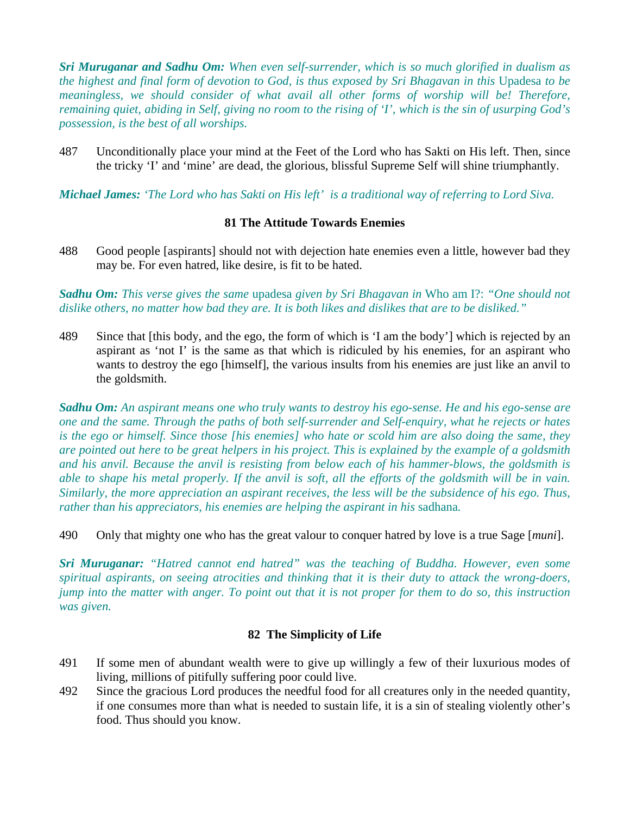*Sri Muruganar and Sadhu Om: When even self-surrender, which is so much glorified in dualism as the highest and final form of devotion to God, is thus exposed by Sri Bhagavan in this* Upadesa *to be meaningless, we should consider of what avail all other forms of worship will be! Therefore, remaining quiet, abiding in Self, giving no room to the rising of 'I', which is the sin of usurping God's possession, is the best of all worships.* 

487 Unconditionally place your mind at the Feet of the Lord who has Sakti on His left. Then, since the tricky 'I' and 'mine' are dead, the glorious, blissful Supreme Self will shine triumphantly.

*Michael James: 'The Lord who has Sakti on His left' is a traditional way of referring to Lord Siva.* 

## **81 The Attitude Towards Enemies**

488 Good people [aspirants] should not with dejection hate enemies even a little, however bad they may be. For even hatred, like desire, is fit to be hated.

*Sadhu Om: This verse gives the same* upadesa *given by Sri Bhagavan in* Who am I?: *"One should not dislike others, no matter how bad they are. It is both likes and dislikes that are to be disliked."* 

489 Since that [this body, and the ego, the form of which is 'I am the body'] which is rejected by an aspirant as 'not I' is the same as that which is ridiculed by his enemies, for an aspirant who wants to destroy the ego [himself], the various insults from his enemies are just like an anvil to the goldsmith.

*Sadhu Om: An aspirant means one who truly wants to destroy his ego-sense. He and his ego-sense are one and the same. Through the paths of both self-surrender and Self-enquiry, what he rejects or hates is the ego or himself. Since those [his enemies] who hate or scold him are also doing the same, they are pointed out here to be great helpers in his project. This is explained by the example of a goldsmith and his anvil. Because the anvil is resisting from below each of his hammer-blows, the goldsmith is able to shape his metal properly. If the anvil is soft, all the efforts of the goldsmith will be in vain. Similarly, the more appreciation an aspirant receives, the less will be the subsidence of his ego. Thus, rather than his appreciators, his enemies are helping the aspirant in his* sadhana*.* 

490 Only that mighty one who has the great valour to conquer hatred by love is a true Sage [*muni*].

*Sri Muruganar: "Hatred cannot end hatred" was the teaching of Buddha. However, even some spiritual aspirants, on seeing atrocities and thinking that it is their duty to attack the wrong-doers, jump into the matter with anger. To point out that it is not proper for them to do so, this instruction was given.* 

# **82 The Simplicity of Life**

- 491 If some men of abundant wealth were to give up willingly a few of their luxurious modes of living, millions of pitifully suffering poor could live.
- 492 Since the gracious Lord produces the needful food for all creatures only in the needed quantity, if one consumes more than what is needed to sustain life, it is a sin of stealing violently other's food. Thus should you know.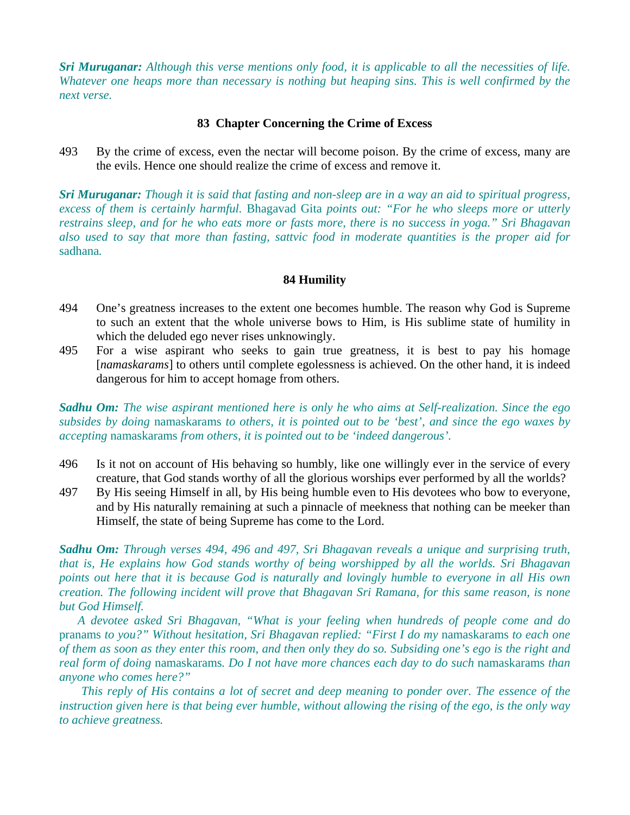*Sri Muruganar: Although this verse mentions only food, it is applicable to all the necessities of life. Whatever one heaps more than necessary is nothing but heaping sins. This is well confirmed by the next verse.* 

#### **83 Chapter Concerning the Crime of Excess**

493 By the crime of excess, even the nectar will become poison. By the crime of excess, many are the evils. Hence one should realize the crime of excess and remove it.

*Sri Muruganar: Though it is said that fasting and non-sleep are in a way an aid to spiritual progress, excess of them is certainly harmful.* Bhagavad Gita *points out: "For he who sleeps more or utterly restrains sleep, and for he who eats more or fasts more, there is no success in yoga." Sri Bhagavan also used to say that more than fasting, sattvic food in moderate quantities is the proper aid for*  sadhana*.* 

### **84 Humility**

- 494 One's greatness increases to the extent one becomes humble. The reason why God is Supreme to such an extent that the whole universe bows to Him, is His sublime state of humility in which the deluded ego never rises unknowingly.
- 495 For a wise aspirant who seeks to gain true greatness, it is best to pay his homage [*namaskarams*] to others until complete egolessness is achieved. On the other hand, it is indeed dangerous for him to accept homage from others.

*Sadhu Om: The wise aspirant mentioned here is only he who aims at Self-realization. Since the ego subsides by doing* namaskarams *to others, it is pointed out to be 'best', and since the ego waxes by accepting* namaskarams *from others, it is pointed out to be 'indeed dangerous'.* 

- 496 Is it not on account of His behaving so humbly, like one willingly ever in the service of every creature, that God stands worthy of all the glorious worships ever performed by all the worlds?
- 497 By His seeing Himself in all, by His being humble even to His devotees who bow to everyone, and by His naturally remaining at such a pinnacle of meekness that nothing can be meeker than Himself, the state of being Supreme has come to the Lord.

*Sadhu Om: Through verses 494, 496 and 497, Sri Bhagavan reveals a unique and surprising truth, that is, He explains how God stands worthy of being worshipped by all the worlds. Sri Bhagavan points out here that it is because God is naturally and lovingly humble to everyone in all His own creation. The following incident will prove that Bhagavan Sri Ramana, for this same reason, is none but God Himself.* 

 *A devotee asked Sri Bhagavan, "What is your feeling when hundreds of people come and do*  pranams to you?" Without hesitation, Sri Bhagavan replied: "First I do my namaskarams to each one *of them as soon as they enter this room, and then only they do so. Subsiding one's ego is the right and real form of doing* namaskarams*. Do I not have more chances each day to do such* namaskarams *than anyone who comes here?"* 

 *This reply of His contains a lot of secret and deep meaning to ponder over. The essence of the instruction given here is that being ever humble, without allowing the rising of the ego, is the only way to achieve greatness.*